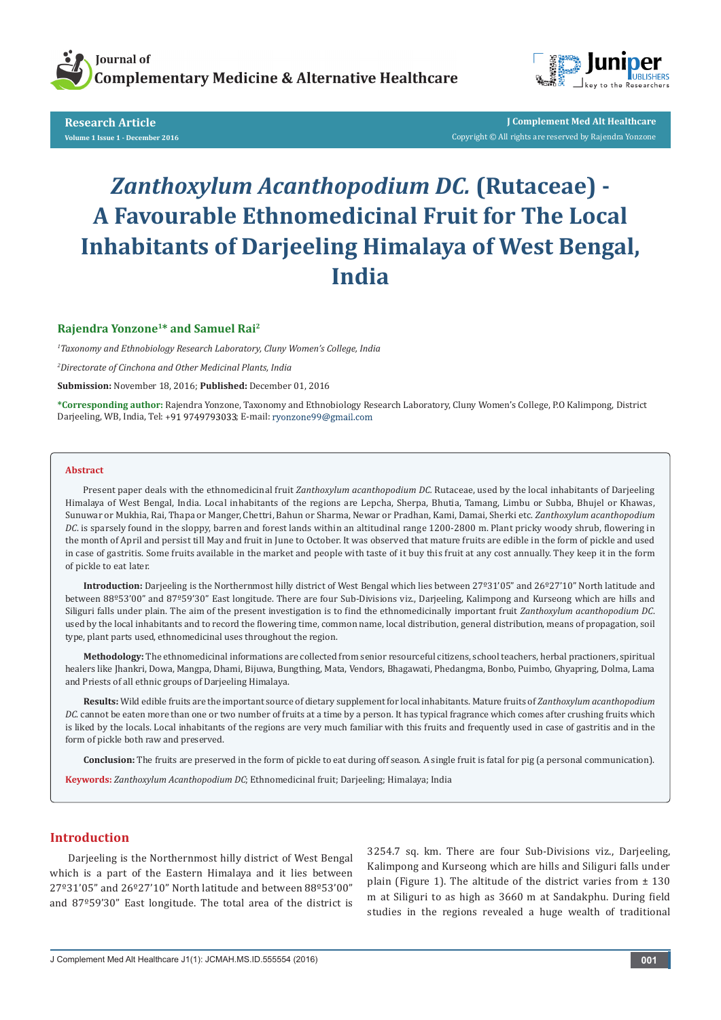



**Research Article Volume 1 Issue 1 - December 2016**

**J Complement Med Alt Healthcare** Copyright © All rights are reserved by Rajendra Yonzone

# *Zanthoxylum Acanthopodium DC.* **(Rutaceae) - A Favourable Ethnomedicinal Fruit for The Local Inhabitants of Darjeeling Himalaya of West Bengal, India**

## **Rajendra Yonzone1\* and Samuel Rai2**

*1 Taxonomy and Ethnobiology Research Laboratory, Cluny Women's College, India*

*2 Directorate of Cinchona and Other Medicinal Plants, India*

**Submission:** November 18, 2016; **Published:** December 01, 2016

**\*Corresponding author:** Rajendra Yonzone, Taxonomy and Ethnobiology Research Laboratory, Cluny Women's College, P.O Kalimpong, District Darjeeling, WB, India, Tel: +91 9749793033; E-mail: ryonzone99@gmail.com

#### **Abstract**

Present paper deals with the ethnomedicinal fruit *Zanthoxylum acanthopodium DC.* Rutaceae, used by the local inhabitants of Darjeeling Himalaya of West Bengal, India. Local inhabitants of the regions are Lepcha, Sherpa, Bhutia, Tamang, Limbu or Subba, Bhujel or Khawas, Sunuwar or Mukhia, Rai, Thapa or Manger, Chettri, Bahun or Sharma, Newar or Pradhan, Kami, Damai, Sherki etc. *Zanthoxylum acanthopodium DC*. is sparsely found in the sloppy, barren and forest lands within an altitudinal range 1200-2800 m. Plant pricky woody shrub, flowering in the month of April and persist till May and fruit in June to October. It was observed that mature fruits are edible in the form of pickle and used in case of gastritis. Some fruits available in the market and people with taste of it buy this fruit at any cost annually. They keep it in the form of pickle to eat later.

**Introduction:** Darjeeling is the Northernmost hilly district of West Bengal which lies between 27º31'05" and 26º27'10" North latitude and between 88º53'00" and 87º59'30" East longitude. There are four Sub-Divisions viz., Darjeeling, Kalimpong and Kurseong which are hills and Siliguri falls under plain. The aim of the present investigation is to find the ethnomedicinally important fruit *Zanthoxylum acanthopodium DC*. used by the local inhabitants and to record the flowering time, common name, local distribution, general distribution, means of propagation, soil type, plant parts used, ethnomedicinal uses throughout the region.

**Methodology:** The ethnomedicinal informations are collected from senior resourceful citizens, school teachers, herbal practioners, spiritual healers like Jhankri, Dowa, Mangpa, Dhami, Bijuwa, Bungthing, Mata, Vendors, Bhagawati, Phedangma, Bonbo, Puimbo, Ghyapring, Dolma, Lama and Priests of all ethnic groups of Darjeeling Himalaya.

**Results:** Wild edible fruits are the important source of dietary supplement for local inhabitants. Mature fruits of *Zanthoxylum acanthopodium DC*. cannot be eaten more than one or two number of fruits at a time by a person. It has typical fragrance which comes after crushing fruits which is liked by the locals. Local inhabitants of the regions are very much familiar with this fruits and frequently used in case of gastritis and in the form of pickle both raw and preserved.

**Conclusion:** The fruits are preserved in the form of pickle to eat during off season. A single fruit is fatal for pig (a personal communication).

**Keywords:** *Zanthoxylum Acanthopodium DC*; Ethnomedicinal fruit; Darjeeling; Himalaya; India

# **Introduction**

Darjeeling is the Northernmost hilly district of West Bengal which is a part of the Eastern Himalaya and it lies between 27º31'05" and 26º27'10" North latitude and between 88º53'00" and 87º59'30" East longitude. The total area of the district is 3254.7 sq. km. There are four Sub-Divisions viz., Darjeeling, Kalimpong and Kurseong which are hills and Siliguri falls under plain (Figure 1). The altitude of the district varies from  $\pm$  130 m at Siliguri to as high as 3660 m at Sandakphu. During field studies in the regions revealed a huge wealth of traditional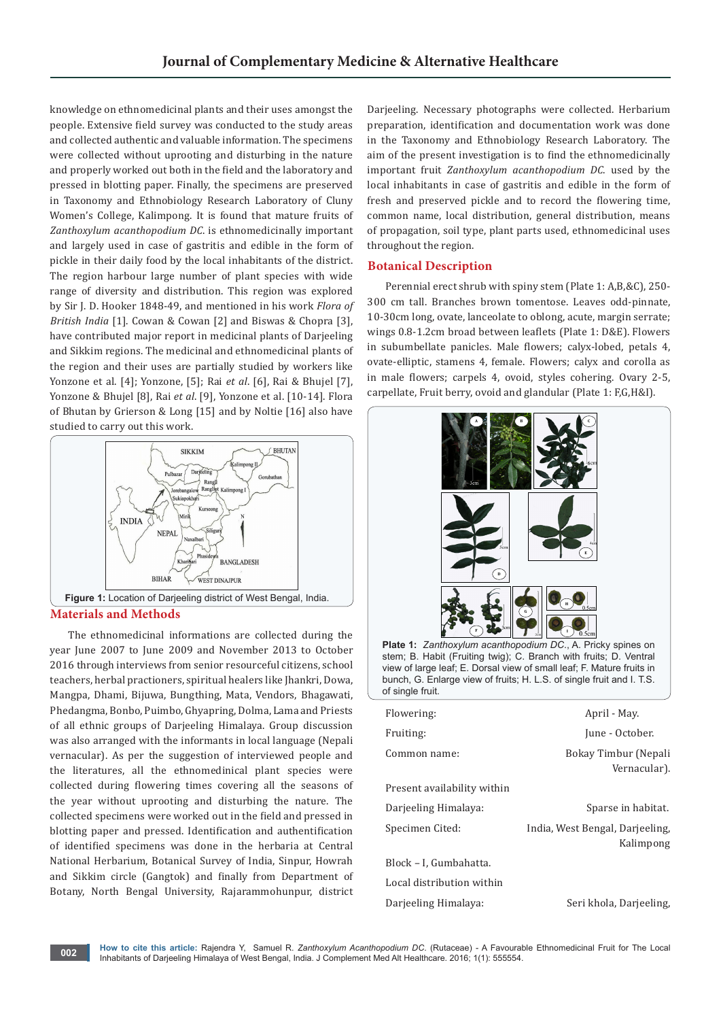knowledge on ethnomedicinal plants and their uses amongst the people. Extensive field survey was conducted to the study areas and collected authentic and valuable information. The specimens were collected without uprooting and disturbing in the nature and properly worked out both in the field and the laboratory and pressed in blotting paper. Finally, the specimens are preserved in Taxonomy and Ethnobiology Research Laboratory of Cluny Women's College, Kalimpong. It is found that mature fruits of *Zanthoxylum acanthopodium DC*. is ethnomedicinally important and largely used in case of gastritis and edible in the form of pickle in their daily food by the local inhabitants of the district. The region harbour large number of plant species with wide range of diversity and distribution. This region was explored by Sir J. D. Hooker 1848-49, and mentioned in his work *Flora of British India* [1]. Cowan & Cowan [2] and Biswas & Chopra [3], have contributed major report in medicinal plants of Darjeeling and Sikkim regions. The medicinal and ethnomedicinal plants of the region and their uses are partially studied by workers like Yonzone et al. [4]; Yonzone, [5]; Rai *et al*. [6], Rai & Bhujel [7], Yonzone & Bhujel [8], Rai *et al*. [9], Yonzone et al. [10-14]. Flora of Bhutan by Grierson & Long [15] and by Noltie [16] also have studied to carry out this work.



The ethnomedicinal informations are collected during the year June 2007 to June 2009 and November 2013 to October 2016 through interviews from senior resourceful citizens, school teachers, herbal practioners, spiritual healers like Jhankri, Dowa, Mangpa, Dhami, Bijuwa, Bungthing, Mata, Vendors, Bhagawati, Phedangma, Bonbo, Puimbo, Ghyapring, Dolma, Lama and Priests of all ethnic groups of Darjeeling Himalaya. Group discussion was also arranged with the informants in local language (Nepali vernacular). As per the suggestion of interviewed people and the literatures, all the ethnomedinical plant species were collected during flowering times covering all the seasons of the year without uprooting and disturbing the nature. The collected specimens were worked out in the field and pressed in blotting paper and pressed. Identification and authentification of identified specimens was done in the herbaria at Central National Herbarium, Botanical Survey of India, Sinpur, Howrah and Sikkim circle (Gangtok) and finally from Department of Botany, North Bengal University, Rajarammohunpur, district Darjeeling. Necessary photographs were collected. Herbarium preparation, identification and documentation work was done in the Taxonomy and Ethnobiology Research Laboratory. The aim of the present investigation is to find the ethnomedicinally important fruit *Zanthoxylum acanthopodium DC*. used by the local inhabitants in case of gastritis and edible in the form of fresh and preserved pickle and to record the flowering time, common name, local distribution, general distribution, means of propagation, soil type, plant parts used, ethnomedicinal uses throughout the region.

## **Botanical Description**

Perennial erect shrub with spiny stem (Plate 1: A,B,&C), 250- 300 cm tall. Branches brown tomentose. Leaves odd-pinnate, 10-30cm long, ovate, lanceolate to oblong, acute, margin serrate; wings 0.8-1.2cm broad between leaflets (Plate 1: D&E). Flowers in subumbellate panicles. Male flowers; calyx-lobed, petals 4, ovate-elliptic, stamens 4, female. Flowers; calyx and corolla as in male flowers; carpels 4, ovoid, styles cohering. Ovary 2-5, carpellate, Fruit berry, ovoid and glandular (Plate 1: F,G,H&I).



stem; B. Habit (Fruiting twig); C. Branch with fruits; D. Ventral view of large leaf; E. Dorsal view of small leaf; F. Mature fruits in bunch, G. Enlarge view of fruits; H. L.S. of single fruit and I. T.S. of single fruit.

| Flowering:                  | April - May.                                 |
|-----------------------------|----------------------------------------------|
| Fruiting:                   | June - October.                              |
| Common name:                | Bokay Timbur (Nepali<br>Vernacular).         |
| Present availability within |                                              |
| Darjeeling Himalaya:        | Sparse in habitat.                           |
| Specimen Cited:             | India, West Bengal, Darjeeling,<br>Kalimpong |
| Block – I, Gumbahatta.      |                                              |
| Local distribution within   |                                              |
| Darjeeling Himalaya:        | Seri khola, Darjeeling,                      |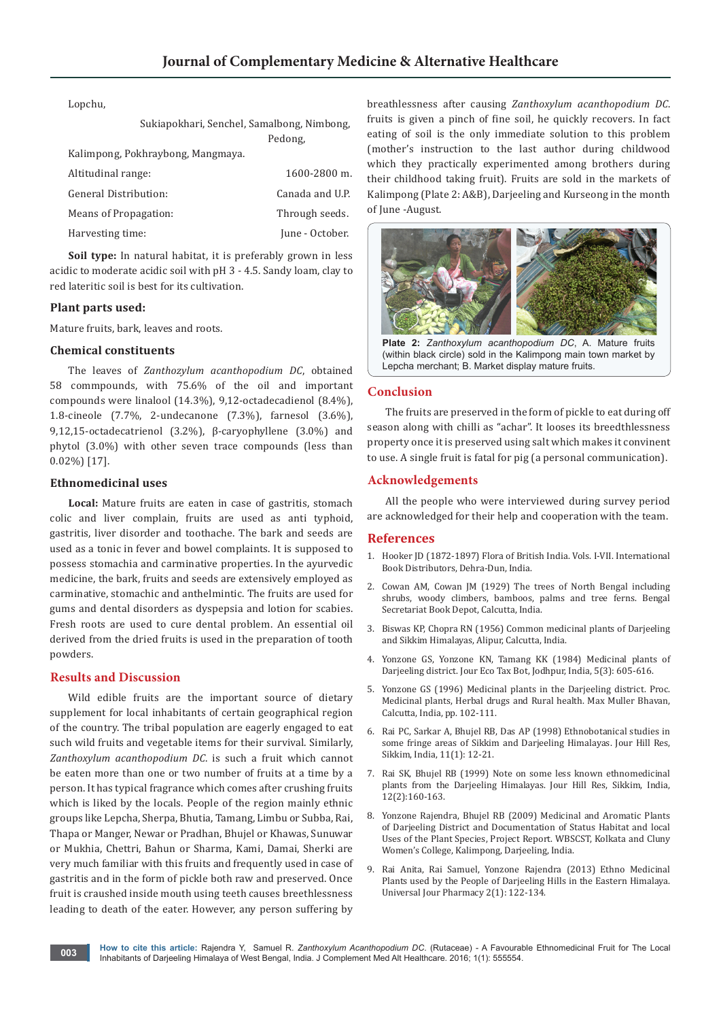Lopchu,

| Sukiapokhari, Senchel, Samalbong, Nimbong,<br>Pedong, |
|-------------------------------------------------------|
|                                                       |
| $1600 - 2800$ m.                                      |
| Canada and U.P.                                       |
| Through seeds.                                        |
| June - October.                                       |
|                                                       |

**Soil type:** In natural habitat, it is preferably grown in less acidic to moderate acidic soil with pH 3 - 4.5. Sandy loam, clay to red lateritic soil is best for its cultivation.

#### **Plant parts used:**

Mature fruits, bark, leaves and roots.

### **Chemical constituents**

The leaves of *Zanthozylum acanthopodium DC*, obtained 58 commpounds, with 75.6% of the oil and important compounds were linalool (14.3%), 9,12-octadecadienol (8.4%), 1.8-cineole (7.7%, 2-undecanone (7.3%), farnesol (3.6%), 9,12,15-octadecatrienol (3.2%), β-caryophyllene (3.0%) and phytol (3.0%) with other seven trace compounds (less than 0.02%) [17].

# **Ethnomedicinal uses**

**Local:** Mature fruits are eaten in case of gastritis, stomach colic and liver complain, fruits are used as anti typhoid, gastritis, liver disorder and toothache. The bark and seeds are used as a tonic in fever and bowel complaints. It is supposed to possess stomachia and carminative properties. In the ayurvedic medicine, the bark, fruits and seeds are extensively employed as carminative, stomachic and anthelmintic. The fruits are used for gums and dental disorders as dyspepsia and lotion for scabies. Fresh roots are used to cure dental problem. An essential oil derived from the dried fruits is used in the preparation of tooth powders.

### **Results and Discussion**

Wild edible fruits are the important source of dietary supplement for local inhabitants of certain geographical region of the country. The tribal population are eagerly engaged to eat such wild fruits and vegetable items for their survival. Similarly, *Zanthoxylum acanthopodium DC*. is such a fruit which cannot be eaten more than one or two number of fruits at a time by a person. It has typical fragrance which comes after crushing fruits which is liked by the locals. People of the region mainly ethnic groups like Lepcha, Sherpa, Bhutia, Tamang, Limbu or Subba, Rai, Thapa or Manger, Newar or Pradhan, Bhujel or Khawas, Sunuwar or Mukhia, Chettri, Bahun or Sharma, Kami, Damai, Sherki are very much familiar with this fruits and frequently used in case of gastritis and in the form of pickle both raw and preserved. Once fruit is craushed inside mouth using teeth causes breethlessness leading to death of the eater. However, any person suffering by

breathlessness after causing *Zanthoxylum acanthopodium DC*. fruits is given a pinch of fine soil, he quickly recovers. In fact eating of soil is the only immediate solution to this problem (mother's instruction to the last author during childwood which they practically experimented among brothers during their childhood taking fruit). Fruits are sold in the markets of Kalimpong (Plate 2: A&B), Darjeeling and Kurseong in the month of June -August.



(within black circle) sold in the Kalimpong main town market by Lepcha merchant; B. Market display mature fruits.

## **Conclusion**

The fruits are preserved in the form of pickle to eat during off season along with chilli as "achar". It looses its breedthlessness property once it is preserved using salt which makes it convinent to use. A single fruit is fatal for pig (a personal communication).

#### **Acknowledgements**

All the people who were interviewed during survey period are acknowledged for their help and cooperation with the team.

#### **References**

- 1. Hooker JD (1872-1897) Flora of British India. Vols. I-VII. International Book Distributors, Dehra-Dun, India.
- 2. Cowan AM, Cowan JM (1929) The trees of North Bengal including shrubs, woody climbers, bamboos, palms and tree ferns. Bengal Secretariat Book Depot, Calcutta, India.
- 3. Biswas KP, Chopra RN (1956) Common medicinal plants of Darjeeling and Sikkim Himalayas, Alipur, Calcutta, India.
- 4. Yonzone GS, Yonzone KN, Tamang KK (1984) Medicinal plants of Darjeeling district. Jour Eco Tax Bot, Jodhpur, India, 5(3): 605-616.
- 5. Yonzone GS (1996) Medicinal plants in the Darjeeling district. Proc. Medicinal plants, Herbal drugs and Rural health. Max Muller Bhavan, Calcutta, India, pp. 102-111.
- 6. Rai PC, Sarkar A, Bhujel RB, Das AP (1998) Ethnobotanical studies in some fringe areas of Sikkim and Darjeeling Himalayas. Jour Hill Res, Sikkim, India, 11(1): 12-21.
- 7. Rai SK, Bhujel RB (1999) Note on some less known ethnomedicinal plants from the Darjeeling Himalayas. Jour Hill Res, Sikkim, India, 12(2):160-163.
- 8. Yonzone Rajendra, Bhujel RB (2009) Medicinal and Aromatic Plants of Darjeeling District and Documentation of Status Habitat and local Uses of the Plant Species, Project Report. WBSCST, Kolkata and Cluny Women's College, Kalimpong, Darjeeling, India.
- 9. Rai Anita, Rai Samuel, Yonzone Rajendra (2013) Ethno Medicinal Plants used by the People of Darjeeling Hills in the Eastern Himalaya. Universal Jour Pharmacy 2(1): 122-134.